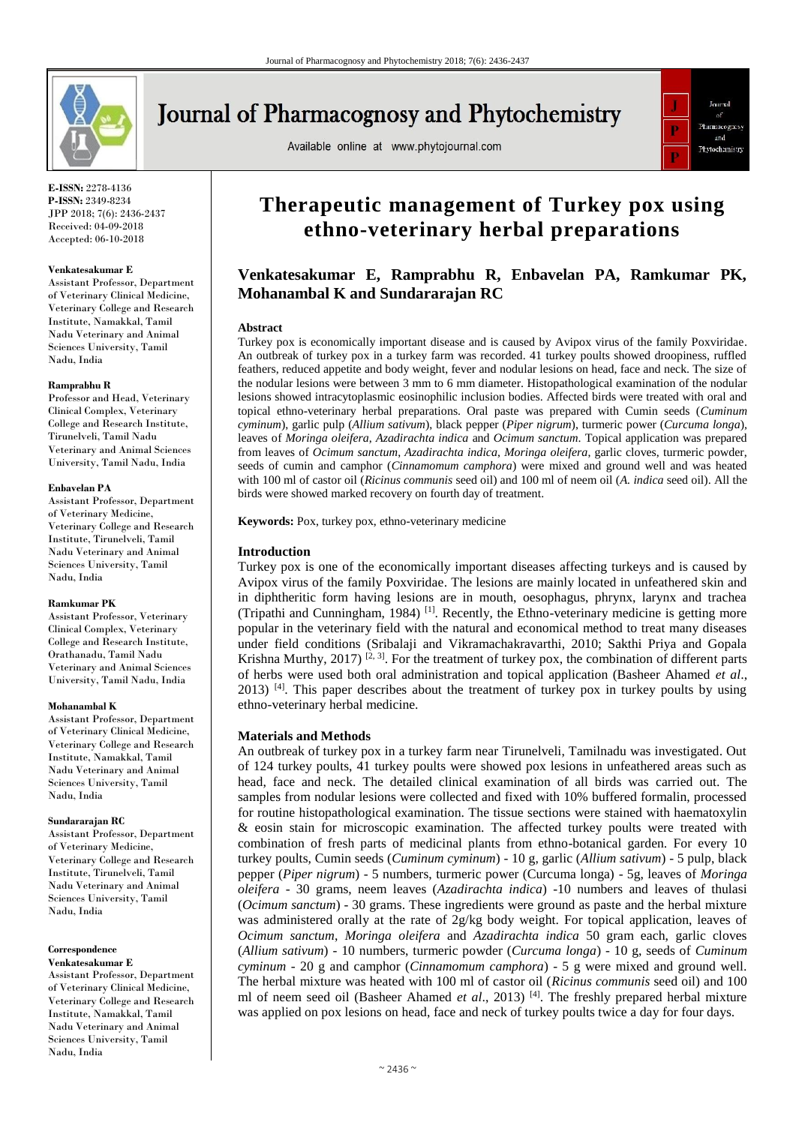

# **Journal of Pharmacognosy and Phytochemistry**

Available online at www.phytojournal.com



**E-ISSN:** 2278-4136 **P-ISSN:** 2349-8234 JPP 2018; 7(6): 2436-2437 Received: 04-09-2018 Accepted: 06-10-2018

### **Venkatesakumar E**

Assistant Professor, Department of Veterinary Clinical Medicine, Veterinary College and Research Institute, Namakkal, Tamil Nadu Veterinary and Animal Sciences University, Tamil Nadu, India

### **Ramprabhu R**

Professor and Head, Veterinary Clinical Complex, Veterinary College and Research Institute, Tirunelveli, Tamil Nadu Veterinary and Animal Sciences University, Tamil Nadu, India

### **Enbavelan PA**

Assistant Professor, Department of Veterinary Medicine, Veterinary College and Research Institute, Tirunelveli, Tamil Nadu Veterinary and Animal Sciences University, Tamil Nadu, India

### **Ramkumar PK**

Assistant Professor, Veterinary Clinical Complex, Veterinary College and Research Institute, Orathanadu, Tamil Nadu Veterinary and Animal Sciences University, Tamil Nadu, India

### **Mohanambal K**

Assistant Professor, Department of Veterinary Clinical Medicine, Veterinary College and Research Institute, Namakkal, Tamil Nadu Veterinary and Animal Sciences University, Tamil Nadu, India

### **Sundararajan RC**

Assistant Professor, Department of Veterinary Medicine, Veterinary College and Research Institute, Tirunelveli, Tamil Nadu Veterinary and Animal Sciences University, Tamil Nadu, India

#### **Correspondence Venkatesakumar E**

Assistant Professor, Department of Veterinary Clinical Medicine, Veterinary College and Research Institute, Namakkal, Tamil Nadu Veterinary and Animal Sciences University, Tamil Nadu, India

## **Therapeutic management of Turkey pox using ethno-veterinary herbal preparations**

### **Venkatesakumar E, Ramprabhu R, Enbavelan PA, Ramkumar PK, Mohanambal K and Sundararajan RC**

### **Abstract**

Turkey pox is economically important disease and is caused by Avipox virus of the family Poxviridae. An outbreak of turkey pox in a turkey farm was recorded. 41 turkey poults showed droopiness, ruffled feathers, reduced appetite and body weight, fever and nodular lesions on head, face and neck. The size of the nodular lesions were between 3 mm to 6 mm diameter. Histopathological examination of the nodular lesions showed intracytoplasmic eosinophilic inclusion bodies. Affected birds were treated with oral and topical ethno-veterinary herbal preparations. Oral paste was prepared with Cumin seeds (*Cuminum cyminum*), garlic pulp (*Allium sativum*), black pepper (*Piper nigrum*), turmeric power (*Curcuma longa*), leaves of *Moringa oleifera*, *Azadirachta indica* and *Ocimum sanctum*. Topical application was prepared from leaves of *Ocimum sanctum*, *Azadirachta indica*, *Moringa oleifera*, garlic cloves, turmeric powder, seeds of cumin and camphor (*Cinnamomum camphora*) were mixed and ground well and was heated with 100 ml of castor oil (*Ricinus communis* seed oil) and 100 ml of neem oil (*A. indica* seed oil). All the birds were showed marked recovery on fourth day of treatment.

**Keywords:** Pox, turkey pox, ethno-veterinary medicine

### **Introduction**

Turkey pox is one of the economically important diseases affecting turkeys and is caused by Avipox virus of the family Poxviridae. The lesions are mainly located in unfeathered skin and in diphtheritic form having lesions are in mouth, oesophagus, phrynx, larynx and trachea (Tripathi and Cunningham, 1984) [1]. Recently, the Ethno-veterinary medicine is getting more popular in the veterinary field with the natural and economical method to treat many diseases under field conditions (Sribalaji and Vikramachakravarthi, 2010; Sakthi Priya and Gopala Krishna Murthy, 2017) <sup>[2, 3]</sup>. For the treatment of turkey pox, the combination of different parts of herbs were used both oral administration and topical application (Basheer Ahamed *et al*., 2013)  $[4]$ . This paper describes about the treatment of turkey pox in turkey poults by using ethno-veterinary herbal medicine.

### **Materials and Methods**

An outbreak of turkey pox in a turkey farm near Tirunelveli, Tamilnadu was investigated. Out of 124 turkey poults, 41 turkey poults were showed pox lesions in unfeathered areas such as head, face and neck. The detailed clinical examination of all birds was carried out. The samples from nodular lesions were collected and fixed with 10% buffered formalin, processed for routine histopathological examination. The tissue sections were stained with haematoxylin & eosin stain for microscopic examination. The affected turkey poults were treated with combination of fresh parts of medicinal plants from ethno-botanical garden. For every 10 turkey poults, Cumin seeds (*Cuminum cyminum*) - 10 g, garlic (*Allium sativum*) - 5 pulp, black pepper (*Piper nigrum*) - 5 numbers, turmeric power (Curcuma longa) - 5g, leaves of *Moringa oleifera* - 30 grams, neem leaves (*Azadirachta indica*) -10 numbers and leaves of thulasi (*Ocimum sanctum*) - 30 grams. These ingredients were ground as paste and the herbal mixture was administered orally at the rate of 2g/kg body weight. For topical application, leaves of *Ocimum sanctum*, *Moringa oleifera* and *Azadirachta indica* 50 gram each, garlic cloves (*Allium sativum*) - 10 numbers, turmeric powder (*Curcuma longa*) - 10 g, seeds of *Cuminum cyminum* - 20 g and camphor (*Cinnamomum camphora*) - 5 g were mixed and ground well. The herbal mixture was heated with 100 ml of castor oil (*Ricinus communis* seed oil) and 100 ml of neem seed oil (Basheer Ahamed *et al*., 2013) [4]. The freshly prepared herbal mixture was applied on pox lesions on head, face and neck of turkey poults twice a day for four days.